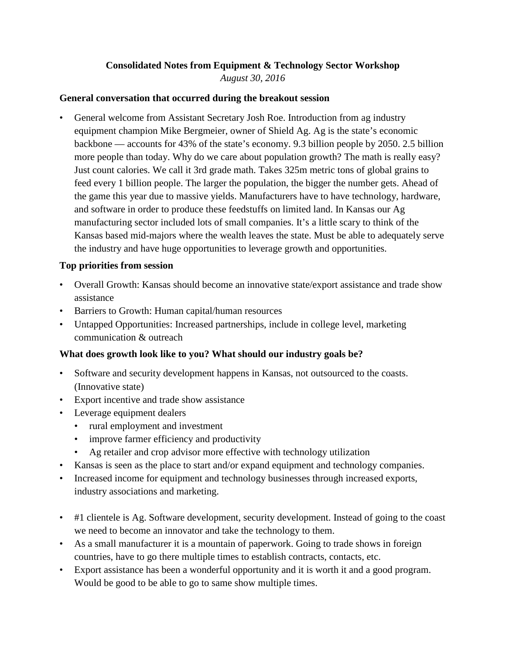#### **Consolidated Notes from Equipment & Technology Sector Workshop** *August 30, 2016*

#### **General conversation that occurred during the breakout session**

• General welcome from Assistant Secretary Josh Roe. Introduction from ag industry equipment champion Mike Bergmeier, owner of Shield Ag. Ag is the state's economic backbone — accounts for 43% of the state's economy. 9.3 billion people by 2050. 2.5 billion more people than today. Why do we care about population growth? The math is really easy? Just count calories. We call it 3rd grade math. Takes 325m metric tons of global grains to feed every 1 billion people. The larger the population, the bigger the number gets. Ahead of the game this year due to massive yields. Manufacturers have to have technology, hardware, and software in order to produce these feedstuffs on limited land. In Kansas our Ag manufacturing sector included lots of small companies. It's a little scary to think of the Kansas based mid-majors where the wealth leaves the state. Must be able to adequately serve the industry and have huge opportunities to leverage growth and opportunities.

### **Top priorities from session**

- Overall Growth: Kansas should become an innovative state/export assistance and trade show assistance
- Barriers to Growth: Human capital/human resources
- Untapped Opportunities: Increased partnerships, include in college level, marketing communication & outreach

# **What does growth look like to you? What should our industry goals be?**

- Software and security development happens in Kansas, not outsourced to the coasts. (Innovative state)
- Export incentive and trade show assistance
- Leverage equipment dealers
	- rural employment and investment
	- improve farmer efficiency and productivity
	- Ag retailer and crop advisor more effective with technology utilization
- Kansas is seen as the place to start and/or expand equipment and technology companies.
- Increased income for equipment and technology businesses through increased exports, industry associations and marketing.
- #1 clientele is Ag. Software development, security development. Instead of going to the coast we need to become an innovator and take the technology to them.
- As a small manufacturer it is a mountain of paperwork. Going to trade shows in foreign countries, have to go there multiple times to establish contracts, contacts, etc.
- Export assistance has been a wonderful opportunity and it is worth it and a good program. Would be good to be able to go to same show multiple times.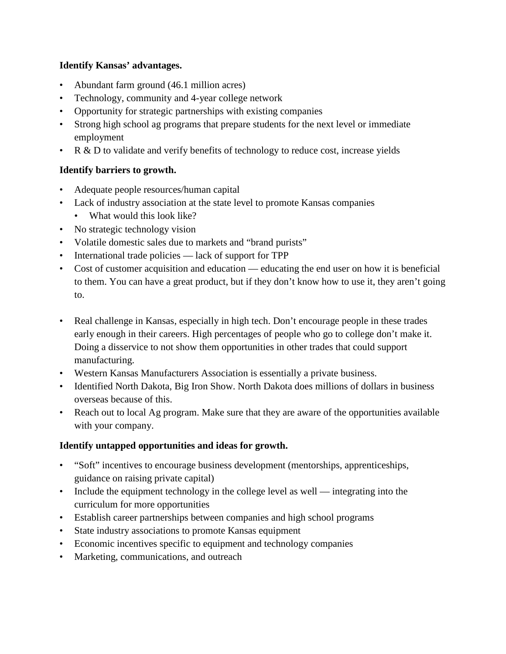## **Identify Kansas' advantages.**

- Abundant farm ground (46.1 million acres)
- Technology, community and 4-year college network
- Opportunity for strategic partnerships with existing companies
- Strong high school ag programs that prepare students for the next level or immediate employment
- R & D to validate and verify benefits of technology to reduce cost, increase yields

# **Identify barriers to growth.**

- Adequate people resources/human capital
- Lack of industry association at the state level to promote Kansas companies
	- What would this look like?
- No strategic technology vision
- Volatile domestic sales due to markets and "brand purists"
- International trade policies lack of support for TPP
- Cost of customer acquisition and education educating the end user on how it is beneficial to them. You can have a great product, but if they don't know how to use it, they aren't going to.
- Real challenge in Kansas, especially in high tech. Don't encourage people in these trades early enough in their careers. High percentages of people who go to college don't make it. Doing a disservice to not show them opportunities in other trades that could support manufacturing.
- Western Kansas Manufacturers Association is essentially a private business.
- Identified North Dakota, Big Iron Show. North Dakota does millions of dollars in business overseas because of this.
- Reach out to local Ag program. Make sure that they are aware of the opportunities available with your company.

#### **Identify untapped opportunities and ideas for growth.**

- "Soft" incentives to encourage business development (mentorships, apprenticeships, guidance on raising private capital)
- Include the equipment technology in the college level as well integrating into the curriculum for more opportunities
- Establish career partnerships between companies and high school programs
- State industry associations to promote Kansas equipment
- Economic incentives specific to equipment and technology companies
- Marketing, communications, and outreach